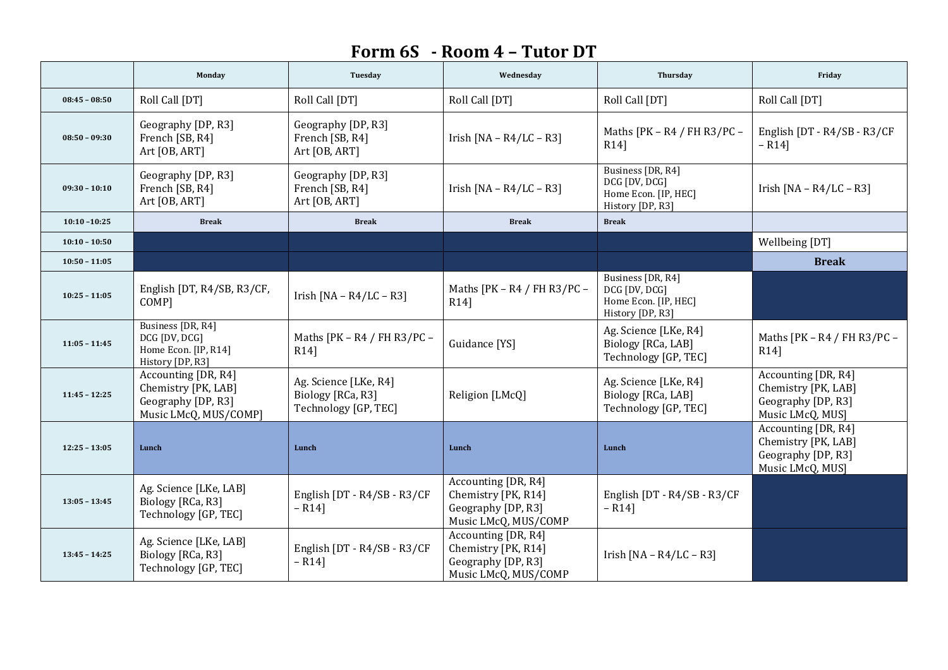## **Form 6S - Room 4 – Tutor DT**

|                 | Monday                                                                                    | Tuesday                                                            | Wednesday                                                                                | Thursday                                                                       | Friday                                                                               |
|-----------------|-------------------------------------------------------------------------------------------|--------------------------------------------------------------------|------------------------------------------------------------------------------------------|--------------------------------------------------------------------------------|--------------------------------------------------------------------------------------|
| $08:45 - 08:50$ | Roll Call [DT]                                                                            | Roll Call [DT]                                                     | Roll Call [DT]                                                                           | Roll Call [DT]                                                                 | Roll Call [DT]                                                                       |
| $08:50 - 09:30$ | Geography [DP, R3]<br>French [SB, R4]<br>Art [OB, ART]                                    | Geography [DP, R3]<br>French [SB, R4]<br>Art [OB, ART]             | Irish $[NA - R4/LC - R3]$                                                                | Maths [PK - R4 / FH R3/PC -<br>R14                                             | English [DT - R4/SB - R3/CF<br>$- R14]$                                              |
| $09:30 - 10:10$ | Geography [DP, R3]<br>French [SB, R4]<br>Art [OB, ART]                                    | Geography [DP, R3]<br>French [SB, R4]<br>Art [OB, ART]             | Irish $[NA - R4/LC - R3]$                                                                | Business [DR, R4]<br>DCG [DV, DCG]<br>Home Econ. [IP, HEC]<br>History [DP, R3] | Irish [NA - $R4/LC - R3$ ]                                                           |
| $10:10 - 10:25$ | <b>Break</b>                                                                              | <b>Break</b>                                                       | <b>Break</b>                                                                             | <b>Break</b>                                                                   |                                                                                      |
| $10:10 - 10:50$ |                                                                                           |                                                                    |                                                                                          |                                                                                | Wellbeing [DT]                                                                       |
| $10:50 - 11:05$ |                                                                                           |                                                                    |                                                                                          |                                                                                | <b>Break</b>                                                                         |
| $10:25 - 11:05$ | English [DT, R4/SB, R3/CF,<br>COMP]                                                       | Irish [NA - $R4/LC - R3$ ]                                         | Maths [PK – R4 / FH R3/PC –<br>R14                                                       | Business [DR, R4]<br>DCG [DV, DCG]<br>Home Econ. [IP, HEC]<br>History [DP, R3] |                                                                                      |
| $11:05 - 11:45$ | Business [DR, R4]<br>DCG [DV, DCG]<br>Home Econ. [IP, R14]<br>History [DP, R3]            | Maths [PK - R4 / FH R3/PC -<br>R14                                 | Guidance [YS]                                                                            | Ag. Science [LKe, R4]<br>Biology [RCa, LAB]<br>Technology [GP, TEC]            | Maths [PK - R4 / FH R3/PC -<br>R14                                                   |
| $11:45 - 12:25$ | Accounting [DR, R4]<br>Chemistry [PK, LAB]<br>Geography [DP, R3]<br>Music LMcQ, MUS/COMP] | Ag. Science [LKe, R4]<br>Biology [RCa, R3]<br>Technology [GP, TEC] | Religion [LMcQ]                                                                          | Ag. Science [LKe, R4]<br>Biology [RCa, LAB]<br>Technology [GP, TEC]            | Accounting [DR, R4]<br>Chemistry [PK, LAB]<br>Geography [DP, R3]<br>Music LMcQ, MUS] |
| $12:25 - 13:05$ | Lunch                                                                                     | Lunch                                                              | Lunch                                                                                    | Lunch                                                                          | Accounting [DR, R4]<br>Chemistry [PK, LAB]<br>Geography [DP, R3]<br>Music LMcQ, MUS] |
| $13:05 - 13:45$ | Ag. Science [LKe, LAB]<br>Biology [RCa, R3]<br>Technology [GP, TEC]                       | English [DT - R4/SB - R3/CF<br>$-R14$ ]                            | Accounting [DR, R4]<br>Chemistry [PK, R14]<br>Geography [DP, R3]<br>Music LMcQ, MUS/COMP | English [DT - R4/SB - R3/CF<br>$- R14$ ]                                       |                                                                                      |
| $13:45 - 14:25$ | Ag. Science [LKe, LAB]<br>Biology [RCa, R3]<br>Technology [GP, TEC]                       | English [DT - R4/SB - R3/CF<br>$-R14$ ]                            | Accounting [DR, R4]<br>Chemistry [PK, R14]<br>Geography [DP, R3]<br>Music LMcQ, MUS/COMP | Irish [NA - $R4/LC - R3$ ]                                                     |                                                                                      |